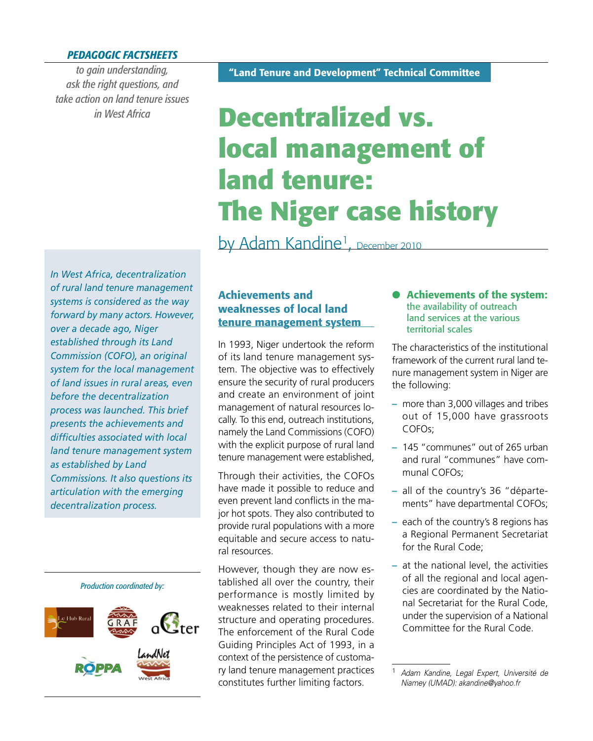## *PEDAGOGIC FACTSHEETS*

*to gain understanding, ask the right questions, and take action on land tenure issues in West Africa*

# **Decentralized vs. local management of land tenure: The Niger case history**

by Adam Kandine<sup>1</sup>, December 2010

*In West Africa, decentralization of rural land tenure management systems is considered as the way forward by many actors. However, over a decade ago, Niger established through its Land Commission (COFO), an original system for the local management of land issues in rural areas, even before the decentralization process was launched. This brief presents the achievements and diffi culties associated with local land tenure management system as established by Land Commissions. It also questions its articulation with the emerging decentralization process.*



# **Achievements and weaknesses of local land tenure management system**

In 1993, Niger undertook the reform of its land tenure management system. The objective was to effectively ensure the security of rural producers and create an environment of joint management of natural resources locally. To this end, outreach institutions, namely the Land Commissions (COFO) with the explicit purpose of rural land tenure management were established,

Through their activities, the COFOs have made it possible to reduce and even prevent land conflicts in the major hot spots. They also contributed to provide rural populations with a more equitable and secure access to natural resources.

However, though they are now established all over the country, their performance is mostly limited by weaknesses related to their internal structure and operating procedures. The enforcement of the Rural Code Guiding Principles Act of 1993, in a context of the persistence of customary land tenure management practices constitutes further limiting factors.

 **Achievements of the system:** the availability of outreach land services at the various territorial scales

The characteristics of the institutional framework of the current rural land tenure management system in Niger are the following:

- **–** more than 3,000 villages and tribes out of 15,000 have grassroots COFOs;
- **–** 145 "communes" out of 265 urban and rural "communes" have communal COFOs;
- **–** all of the country's 36 "départements" have departmental COFOs;
- **–** each of the country's 8 regions has a Regional Permanent Secretariat for the Rural Code;
- **–** at the national level, the activities of all the regional and local agencies are coordinated by the National Secretariat for the Rural Code, under the supervision of a National Committee for the Rural Code.

<sup>1</sup> *Adam Kandine, Legal Expert, Université de Niamey (UMAD): akandine@yahoo.fr*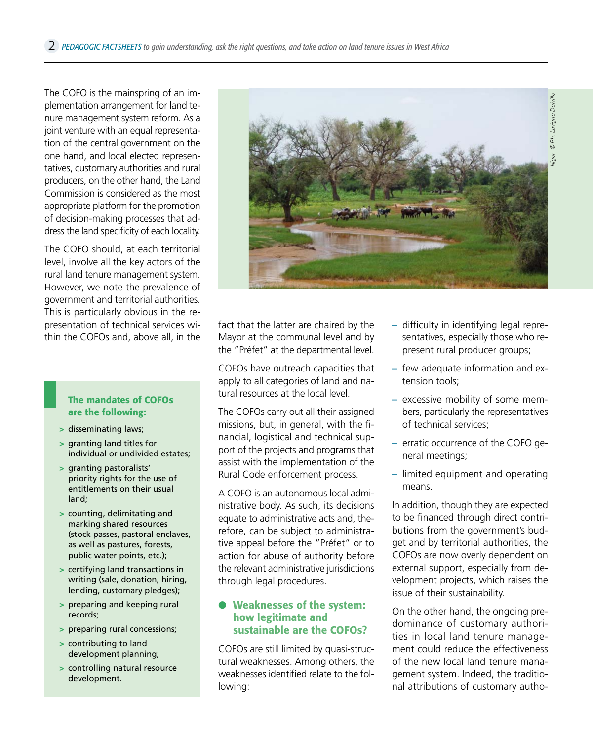The COFO is the mainspring of an implementation arrangement for land tenure management system reform. As a joint venture with an equal representation of the central government on the one hand, and local elected representatives, customary authorities and rural producers, on the other hand, the Land Commission is considered as the most appropriate platform for the promotion of decision-making processes that address the land specificity of each locality.

The COFO should, at each territorial level, involve all the key actors of the rural land tenure management system. However, we note the prevalence of government and territorial authorities. This is particularly obvious in the representation of technical services within the COFOs and, above all, in the

#### **The mandates of COFOs are the following:**

- **>** disseminating laws;
- **>** granting land titles for individual or undivided estates;
- **>** granting pastoralists' priority rights for the use of entitlements on their usual land;
- **>** counting, delimitating and marking shared resources (stock passes, pastoral enclaves, as well as pastures, forests, public water points, etc.);
- **>** certifying land transactions in writing (sale, donation, hiring, lending, customary pledges);
- **>** preparing and keeping rural records;
- **>** preparing rural concessions;
- **>** contributing to land development planning;
- **>** controlling natural resource development.



fact that the latter are chaired by the Mayor at the communal level and by the "Préfet" at the departmental level.

COFOs have outreach capacities that apply to all categories of land and natural resources at the local level.

The COFOs carry out all their assigned missions, but, in general, with the financial, logistical and technical support of the projects and programs that assist with the implementation of the Rural Code enforcement process.

A COFO is an autonomous local administrative body. As such, its decisions equate to administrative acts and, therefore, can be subject to administrative appeal before the "Préfet" or to action for abuse of authority before the relevant administrative jurisdictions through legal procedures.

#### **Weaknesses of the system: how legitimate and sustainable are the COFOs?**

COFOs are still limited by quasi-structural weaknesses. Among others, the weaknesses identified relate to the following:

- $-$  difficulty in identifying legal representatives, especially those who represent rural producer groups;
- **–** few adequate information and extension tools;
- **–** excessive mobility of some members, particularly the representatives of technical services;
- **–** erratic occurrence of the COFO general meetings;
- **–** limited equipment and operating means.

In addition, though they are expected to be financed through direct contributions from the government's budget and by territorial authorities, the COFOs are now overly dependent on external support, especially from development projects, which raises the issue of their sustainability.

On the other hand, the ongoing predominance of customary authorities in local land tenure management could reduce the effectiveness of the new local land tenure management system. Indeed, the traditional attributions of customary autho-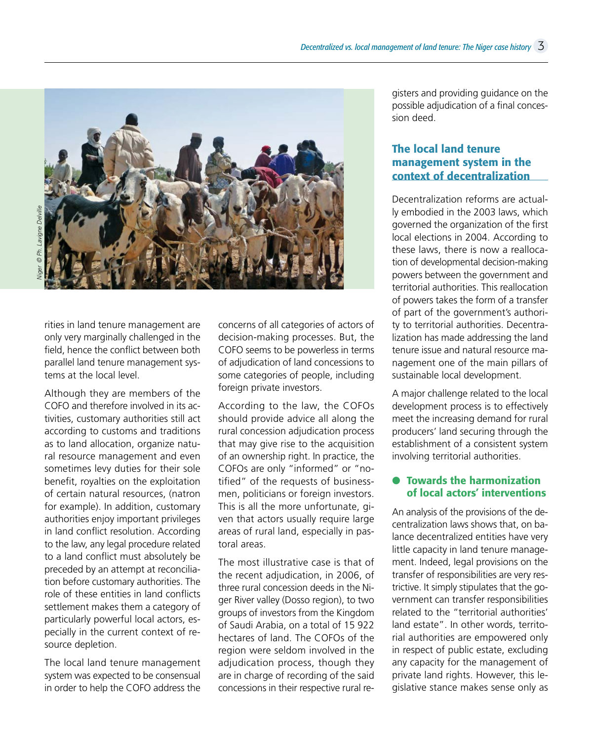

rities in land tenure management are only very marginally challenged in the field, hence the conflict between both parallel land tenure management systems at the local level.

Although they are members of the COFO and therefore involved in its activities, customary authorities still act according to customs and traditions as to land allocation, organize natural resource management and even sometimes levy duties for their sole benefit, royalties on the exploitation of certain natural resources, (natron for example). In addition, customary authorities enjoy important privileges in land conflict resolution. According to the law, any legal procedure related to a land conflict must absolutely be preceded by an attempt at reconciliation before customary authorities. The role of these entities in land conflicts settlement makes them a category of particularly powerful local actors, especially in the current context of resource depletion.

The local land tenure management system was expected to be consensual in order to help the COFO address the

concerns of all categories of actors of decision-making processes. But, the COFO seems to be powerless in terms of adjudication of land concessions to some categories of people, including foreign private investors.

According to the law, the COFOs should provide advice all along the rural concession adjudication process that may give rise to the acquisition of an ownership right. In practice, the COFOs are only "informed" or "notified" of the requests of businessmen, politicians or foreign investors. This is all the more unfortunate, given that actors usually require large areas of rural land, especially in pastoral areas.

The most illustrative case is that of the recent adjudication, in 2006, of three rural concession deeds in the Niger River valley (Dosso region), to two groups of investors from the Kingdom of Saudi Arabia, on a total of 15 922 hectares of land. The COFOs of the region were seldom involved in the adjudication process, though they are in charge of recording of the said concessions in their respective rural registers and providing guidance on the possible adjudication of a final concession deed.

# **The local land tenure management system in the context of decentralization**

Decentralization reforms are actually embodied in the 2003 laws, which governed the organization of the first local elections in 2004. According to these laws, there is now a reallocation of developmental decision-making powers between the government and territorial authorities. This reallocation of powers takes the form of a transfer of part of the government's authority to territorial authorities. Decentralization has made addressing the land tenure issue and natural resource management one of the main pillars of sustainable local development.

A major challenge related to the local development process is to effectively meet the increasing demand for rural producers' land securing through the establishment of a consistent system involving territorial authorities.

## **Towards the harmonization of local actors' interventions**

An analysis of the provisions of the decentralization laws shows that, on balance decentralized entities have very little capacity in land tenure management. Indeed, legal provisions on the transfer of responsibilities are very restrictive. It simply stipulates that the government can transfer responsibilities related to the "territorial authorities' land estate". In other words, territorial authorities are empowered only in respect of public estate, excluding any capacity for the management of private land rights. However, this legislative stance makes sense only as